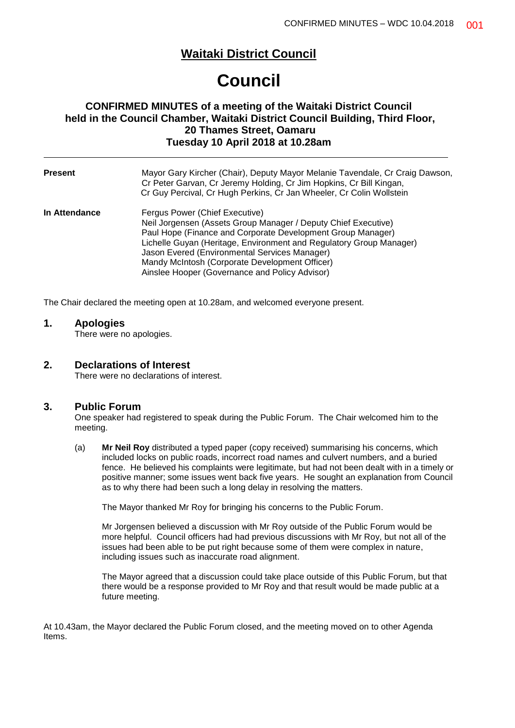### **Waitaki District Council**

# **Council**

#### **CONFIRMED MINUTES of a meeting of the Waitaki District Council held in the Council Chamber, Waitaki District Council Building, Third Floor, 20 Thames Street, Oamaru Tuesday 10 April 2018 at 10.28am**

| <b>Present</b> | Mayor Gary Kircher (Chair), Deputy Mayor Melanie Tavendale, Cr Craig Dawson,<br>Cr Peter Garvan, Cr Jeremy Holding, Cr Jim Hopkins, Cr Bill Kingan,<br>Cr Guy Percival, Cr Hugh Perkins, Cr Jan Wheeler, Cr Colin Wollstein                                                                                                                                                                 |
|----------------|---------------------------------------------------------------------------------------------------------------------------------------------------------------------------------------------------------------------------------------------------------------------------------------------------------------------------------------------------------------------------------------------|
| In Attendance  | Fergus Power (Chief Executive)<br>Neil Jorgensen (Assets Group Manager / Deputy Chief Executive)<br>Paul Hope (Finance and Corporate Development Group Manager)<br>Lichelle Guyan (Heritage, Environment and Regulatory Group Manager)<br>Jason Evered (Environmental Services Manager)<br>Mandy McIntosh (Corporate Development Officer)<br>Ainslee Hooper (Governance and Policy Advisor) |

The Chair declared the meeting open at 10.28am, and welcomed everyone present.

#### **1. Apologies**

There were no apologies.

#### **2. Declarations of Interest**

There were no declarations of interest.

#### **3. Public Forum**

One speaker had registered to speak during the Public Forum. The Chair welcomed him to the meeting.

(a) **Mr Neil Roy** distributed a typed paper (copy received) summarising his concerns, which included locks on public roads, incorrect road names and culvert numbers, and a buried fence. He believed his complaints were legitimate, but had not been dealt with in a timely or positive manner; some issues went back five years. He sought an explanation from Council as to why there had been such a long delay in resolving the matters.

The Mayor thanked Mr Roy for bringing his concerns to the Public Forum.

Mr Jorgensen believed a discussion with Mr Roy outside of the Public Forum would be more helpful. Council officers had had previous discussions with Mr Roy, but not all of the issues had been able to be put right because some of them were complex in nature, including issues such as inaccurate road alignment.

The Mayor agreed that a discussion could take place outside of this Public Forum, but that there would be a response provided to Mr Roy and that result would be made public at a future meeting.

At 10.43am, the Mayor declared the Public Forum closed, and the meeting moved on to other Agenda Items.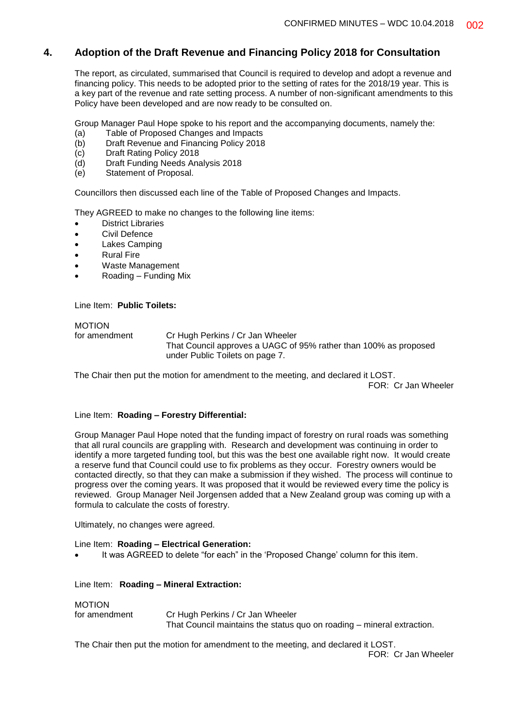#### **4. Adoption of the Draft Revenue and Financing Policy 2018 for Consultation**

The report, as circulated, summarised that Council is required to develop and adopt a revenue and financing policy. This needs to be adopted prior to the setting of rates for the 2018/19 year. This is a key part of the revenue and rate setting process. A number of non-significant amendments to this Policy have been developed and are now ready to be consulted on.

Group Manager Paul Hope spoke to his report and the accompanying documents, namely the:

- (a) Table of Proposed Changes and Impacts
- (b) Draft Revenue and Financing Policy 2018
- (c) Draft Rating Policy 2018
- (d) Draft Funding Needs Analysis 2018
- (e) Statement of Proposal.

Councillors then discussed each line of the Table of Proposed Changes and Impacts.

They AGREED to make no changes to the following line items:

- District Libraries
- Civil Defence
- Lakes Camping
- Rural Fire
- Waste Management
- Roading Funding Mix

Line Item: **Public Toilets:**

## MOTION

for amendment Cr Hugh Perkins / Cr Jan Wheeler That Council approves a UAGC of 95% rather than 100% as proposed under Public Toilets on page 7.

The Chair then put the motion for amendment to the meeting, and declared it LOST.

FOR: Cr Jan Wheeler

#### Line Item: **Roading – Forestry Differential:**

Group Manager Paul Hope noted that the funding impact of forestry on rural roads was something that all rural councils are grappling with. Research and development was continuing in order to identify a more targeted funding tool, but this was the best one available right now. It would create a reserve fund that Council could use to fix problems as they occur. Forestry owners would be contacted directly, so that they can make a submission if they wished. The process will continue to progress over the coming years. It was proposed that it would be reviewed every time the policy is reviewed. Group Manager Neil Jorgensen added that a New Zealand group was coming up with a formula to calculate the costs of forestry.

Ultimately, no changes were agreed.

#### Line Item: **Roading – Electrical Generation:**

It was AGREED to delete "for each" in the 'Proposed Change' column for this item.

#### Line Item: **Roading – Mineral Extraction:**

#### MOTION

for amendment Cr Hugh Perkins / Cr Jan Wheeler That Council maintains the status quo on roading – mineral extraction.

The Chair then put the motion for amendment to the meeting, and declared it LOST.

FOR: Cr Jan Wheeler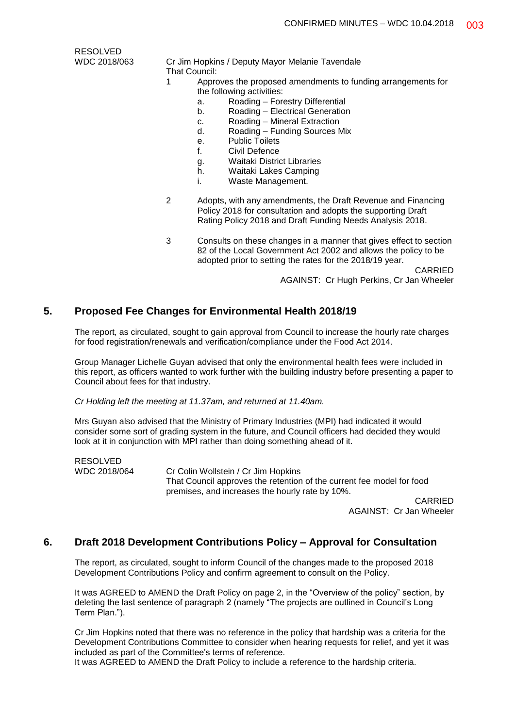RESOLVED

- 
- WDC 2018/063 Cr Jim Hopkins / Deputy Mayor Melanie Tavendale That Council:
	- 1 Approves the proposed amendments to funding arrangements for the following activities:
		- a. Roading Forestry Differential
		- b. Roading Electrical Generation
		- c. Roading Mineral Extraction
		- d. Roading Funding Sources Mix
		- e. Public Toilets
		- f. Civil Defence
		- g. Waitaki District Libraries
		- h. Waitaki Lakes Camping
		- i. Waste Management.
	- 2 Adopts, with any amendments, the Draft Revenue and Financing Policy 2018 for consultation and adopts the supporting Draft Rating Policy 2018 and Draft Funding Needs Analysis 2018.
	- 3 Consults on these changes in a manner that gives effect to section 82 of the Local Government Act 2002 and allows the policy to be adopted prior to setting the rates for the 2018/19 year.

CARRIED AGAINST: Cr Hugh Perkins, Cr Jan Wheeler

#### **5. Proposed Fee Changes for Environmental Health 2018/19**

The report, as circulated, sought to gain approval from Council to increase the hourly rate charges for food registration/renewals and verification/compliance under the Food Act 2014.

Group Manager Lichelle Guyan advised that only the environmental health fees were included in this report, as officers wanted to work further with the building industry before presenting a paper to Council about fees for that industry.

*Cr Holding left the meeting at 11.37am, and returned at 11.40am.*

Mrs Guyan also advised that the Ministry of Primary Industries (MPI) had indicated it would consider some sort of grading system in the future, and Council officers had decided they would look at it in conjunction with MPI rather than doing something ahead of it.

RESOLVED<br>WDC 2018/064

Cr Colin Wollstein / Cr Jim Hopkins That Council approves the retention of the current fee model for food premises, and increases the hourly rate by 10%.

> CARRIED AGAINST: Cr Jan Wheeler

#### **6. Draft 2018 Development Contributions Policy – Approval for Consultation**

The report, as circulated, sought to inform Council of the changes made to the proposed 2018 Development Contributions Policy and confirm agreement to consult on the Policy.

It was AGREED to AMEND the Draft Policy on page 2, in the "Overview of the policy" section, by deleting the last sentence of paragraph 2 (namely "The projects are outlined in Council's Long Term Plan.").

Cr Jim Hopkins noted that there was no reference in the policy that hardship was a criteria for the Development Contributions Committee to consider when hearing requests for relief, and yet it was included as part of the Committee's terms of reference.

It was AGREED to AMEND the Draft Policy to include a reference to the hardship criteria.